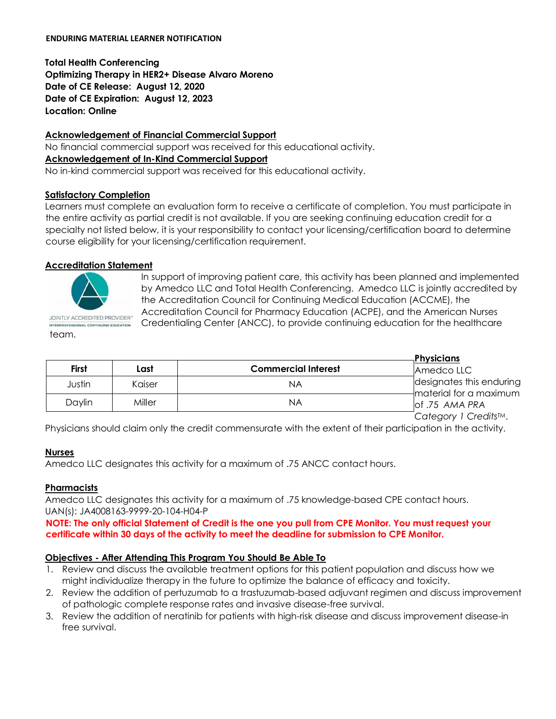**Total Health Conferencing Optimizing Therapy in HER2+ Disease Alvaro Moreno Date of CE Release: August 12, 2020 Date of CE Expiration: August 12, 2023 Location: Online** 

#### **Acknowledgement of Financial Commercial Support**

No financial commercial support was received for this educational activity. **Acknowledgement of In-Kind Commercial Support**  No in-kind commercial support was received for this educational activity.

# **Satisfactory Completion**

Learners must complete an evaluation form to receive a certificate of completion. You must participate in the entire activity as partial credit is not available. If you are seeking continuing education credit for a specialty not listed below, it is your responsibility to contact your licensing/certification board to determine course eligibility for your licensing/certification requirement.

# **Accreditation Statement**



INTERPROFESSIONAL CONTINUING EDUCATION team.

In support of improving patient care, this activity has been planned and implemented by Amedco LLC and Total Health Conferencing. Amedco LLC is jointly accredited by the Accreditation Council for Continuing Medical Education (ACCME), the Accreditation Council for Pharmacy Education (ACPE), and the American Nurses Credentialing Center (ANCC), to provide continuing education for the healthcare

|              |        |                            | <b>Physicians</b>                                      |
|--------------|--------|----------------------------|--------------------------------------------------------|
| <b>First</b> | Last   | <b>Commercial Interest</b> | Amedco LLC                                             |
| Justin       | Kaiser | ΝA                         | designates this enduring<br>$-$ material for a maximum |
| Daylin       | Miller | ΝA                         | of .75 AMA PRA                                         |
|              |        |                            | Category 1 Credits™.                                   |

Physicians should claim only the credit commensurate with the extent of their participation in the activity.

#### **Nurses**

Amedco LLC designates this activity for a maximum of .75 ANCC contact hours.

#### **Pharmacists**

Amedco LLC designates this activity for a maximum of .75 knowledge-based CPE contact hours. UAN(s): JA4008163-9999-20-104-H04-P

### **NOTE: The only official Statement of Credit is the one you pull from CPE Monitor. You must request your certificate within 30 days of the activity to meet the deadline for submission to CPE Monitor.**

# **Objectives - After Attending This Program You Should Be Able To**

- 1. Review and discuss the available treatment options for this patient population and discuss how we might individualize therapy in the future to optimize the balance of efficacy and toxicity.
- 2. Review the addition of pertuzumab to a trastuzumab-based adjuvant regimen and discuss improvement of pathologic complete response rates and invasive disease-free survival.
- 3. Review the addition of neratinib for patients with high-risk disease and discuss improvement disease-in free survival.